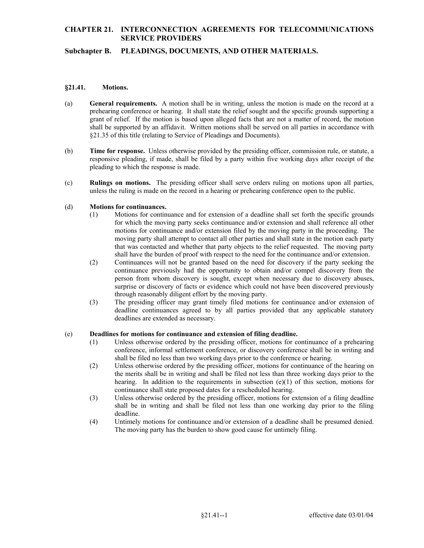## **CHAPTER 21. INTERCONNECTION AGREEMENTS FOR TELECOMMUNICATIONS SERVICE PROVIDERS**

## **Subchapter B. PLEADINGS, DOCUMENTS, AND OTHER MATERIALS.**

### **§21.41. Motions.**

- grant of relief. If the motion is based upon alleged facts that are not a matter of record, the motion (a) **General requirements.** A motion shall be in writing, unless the motion is made on the record at a prehearing conference or hearing. It shall state the relief sought and the specific grounds supporting a shall be supported by an affidavit. Written motions shall be served on all parties in accordance with §21.35 of this title (relating to Service of Pleadings and Documents).
- (b) **Time for response.** Unless otherwise provided by the presiding officer, commission rule, or statute, a responsive pleading, if made, shall be filed by a party within five working days after receipt of the pleading to which the response is made.
- (c) **Rulings on motions.** The presiding officer shall serve orders ruling on motions upon all parties, unless the ruling is made on the record in a hearing or prehearing conference open to the public.

### (d) **Motions for continuances.**

- that was contacted and whether that party objects to the relief requested. The moving party (1) Motions for continuance and for extension of a deadline shall set forth the specific grounds for which the moving party seeks continuance and/or extension and shall reference all other motions for continuance and/or extension filed by the moving party in the proceeding. The moving party shall attempt to contact all other parties and shall state in the motion each party shall have the burden of proof with respect to the need for the continuance and/or extension.
- surprise or discovery of facts or evidence which could not have been discovered previously (2) Continuances will not be granted based on the need for discovery if the party seeking the continuance previously had the opportunity to obtain and/or compel discovery from the person from whom discovery is sought, except when necessary due to discovery abuses, through reasonably diligent effort by the moving party.
- (3) The presiding officer may grant timely filed motions for continuance and/or extension of deadline continuances agreed to by all parties provided that any applicable statutory deadlines are extended as necessary.

#### (e) **Deadlines for motions for continuance and extension of filing deadline.**

- (1) Unless otherwise ordered by the presiding officer, motions for continuance of a prehearing conference, informal settlement conference, or discovery conference shall be in writing and shall be filed no less than two working days prior to the conference or hearing.
- the merits shall be in writing and shall be filed not less than three working days prior to the (2) Unless otherwise ordered by the presiding officer, motions for continuance of the hearing on hearing. In addition to the requirements in subsection  $(e)(1)$  of this section, motions for continuance shall state proposed dates for a rescheduled hearing.
- (3) Unless otherwise ordered by the presiding officer, motions for extension of a filing deadline shall be in writing and shall be filed not less than one working day prior to the filing deadline.
- (4) Untimely motions for continuance and/or extension of a deadline shall be presumed denied. The moving party has the burden to show good cause for untimely filing. The moving party has the burden to show good cause for untimely filing.